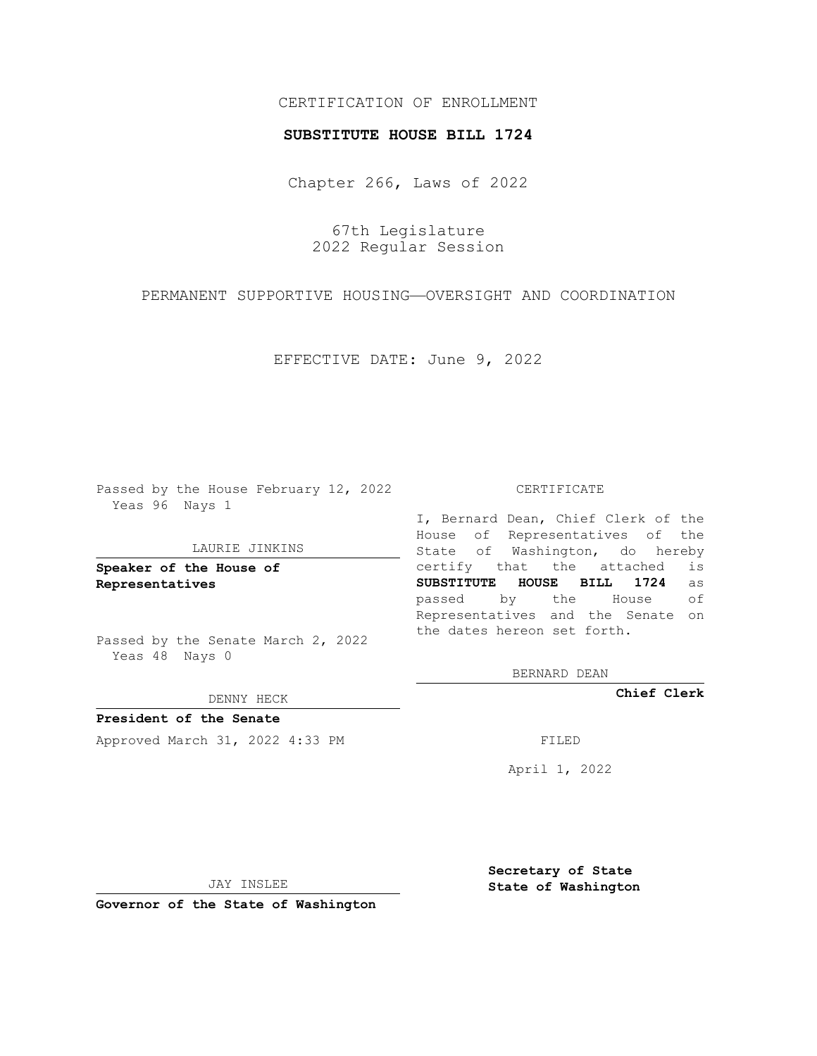# CERTIFICATION OF ENROLLMENT

### **SUBSTITUTE HOUSE BILL 1724**

Chapter 266, Laws of 2022

67th Legislature 2022 Regular Session

PERMANENT SUPPORTIVE HOUSING—OVERSIGHT AND COORDINATION

EFFECTIVE DATE: June 9, 2022

Passed by the House February 12, 2022 Yeas 96 Nays 1

#### LAURIE JINKINS

**Speaker of the House of Representatives**

Passed by the Senate March 2, 2022 Yeas 48 Nays 0

DENNY HECK

**President of the Senate** Approved March 31, 2022 4:33 PM FILED

CERTIFICATE

I, Bernard Dean, Chief Clerk of the House of Representatives of the State of Washington, do hereby certify that the attached is **SUBSTITUTE HOUSE BILL 1724** as passed by the House of Representatives and the Senate on the dates hereon set forth.

BERNARD DEAN

**Chief Clerk**

April 1, 2022

JAY INSLEE

**Governor of the State of Washington**

**Secretary of State State of Washington**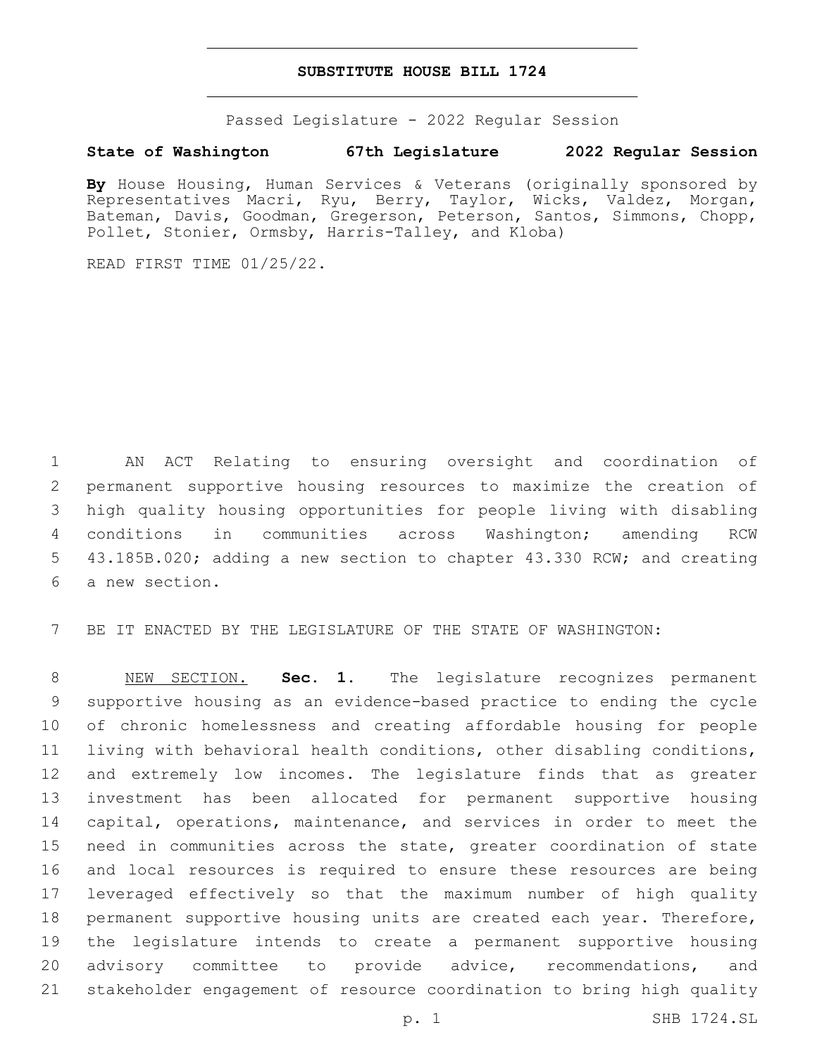## **SUBSTITUTE HOUSE BILL 1724**

Passed Legislature - 2022 Regular Session

## **State of Washington 67th Legislature 2022 Regular Session**

**By** House Housing, Human Services & Veterans (originally sponsored by Representatives Macri, Ryu, Berry, Taylor, Wicks, Valdez, Morgan, Bateman, Davis, Goodman, Gregerson, Peterson, Santos, Simmons, Chopp, Pollet, Stonier, Ormsby, Harris-Talley, and Kloba)

READ FIRST TIME 01/25/22.

 AN ACT Relating to ensuring oversight and coordination of permanent supportive housing resources to maximize the creation of high quality housing opportunities for people living with disabling conditions in communities across Washington; amending RCW 43.185B.020; adding a new section to chapter 43.330 RCW; and creating 6 a new section.

BE IT ENACTED BY THE LEGISLATURE OF THE STATE OF WASHINGTON:

 NEW SECTION. **Sec. 1.** The legislature recognizes permanent supportive housing as an evidence-based practice to ending the cycle of chronic homelessness and creating affordable housing for people living with behavioral health conditions, other disabling conditions, and extremely low incomes. The legislature finds that as greater investment has been allocated for permanent supportive housing capital, operations, maintenance, and services in order to meet the need in communities across the state, greater coordination of state and local resources is required to ensure these resources are being leveraged effectively so that the maximum number of high quality permanent supportive housing units are created each year. Therefore, the legislature intends to create a permanent supportive housing 20 advisory committee to provide advice, recommendations, and stakeholder engagement of resource coordination to bring high quality

p. 1 SHB 1724.SL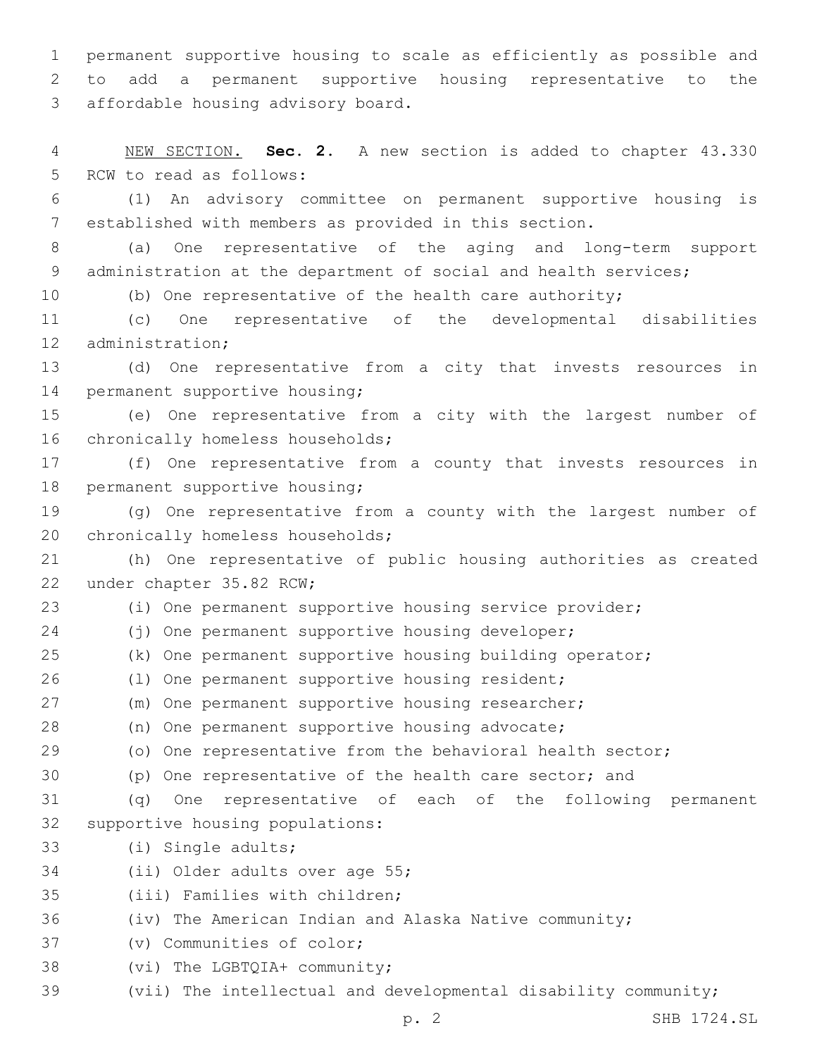1 permanent supportive housing to scale as efficiently as possible and 2 to add a permanent supportive housing representative to the 3 affordable housing advisory board.

4 NEW SECTION. **Sec. 2.** A new section is added to chapter 43.330 5 RCW to read as follows:

6 (1) An advisory committee on permanent supportive housing is 7 established with members as provided in this section.

8 (a) One representative of the aging and long-term support 9 administration at the department of social and health services;

10 (b) One representative of the health care authority;

11 (c) One representative of the developmental disabilities 12 administration;

13 (d) One representative from a city that invests resources in 14 permanent supportive housing;

15 (e) One representative from a city with the largest number of 16 chronically homeless households;

17 (f) One representative from a county that invests resources in 18 permanent supportive housing;

19 (g) One representative from a county with the largest number of 20 chronically homeless households;

21 (h) One representative of public housing authorities as created 22 under chapter 35.82 RCW;

23 (i) One permanent supportive housing service provider;

24 (j) One permanent supportive housing developer;

25 (k) One permanent supportive housing building operator;

26 (1) One permanent supportive housing resident;

27 (m) One permanent supportive housing researcher;

28 (n) One permanent supportive housing advocate;

29 (o) One representative from the behavioral health sector;

30 (p) One representative of the health care sector; and

31 (q) One representative of each of the following permanent 32 supportive housing populations:

33 (i) Single adults;

34 (ii) Older adults over age 55;

35 (iii) Families with children;

36 (iv) The American Indian and Alaska Native community;

37 (v) Communities of color;

38 (vi) The LGBTQIA+ community;

39 (vii) The intellectual and developmental disability community;

p. 2 SHB 1724.SL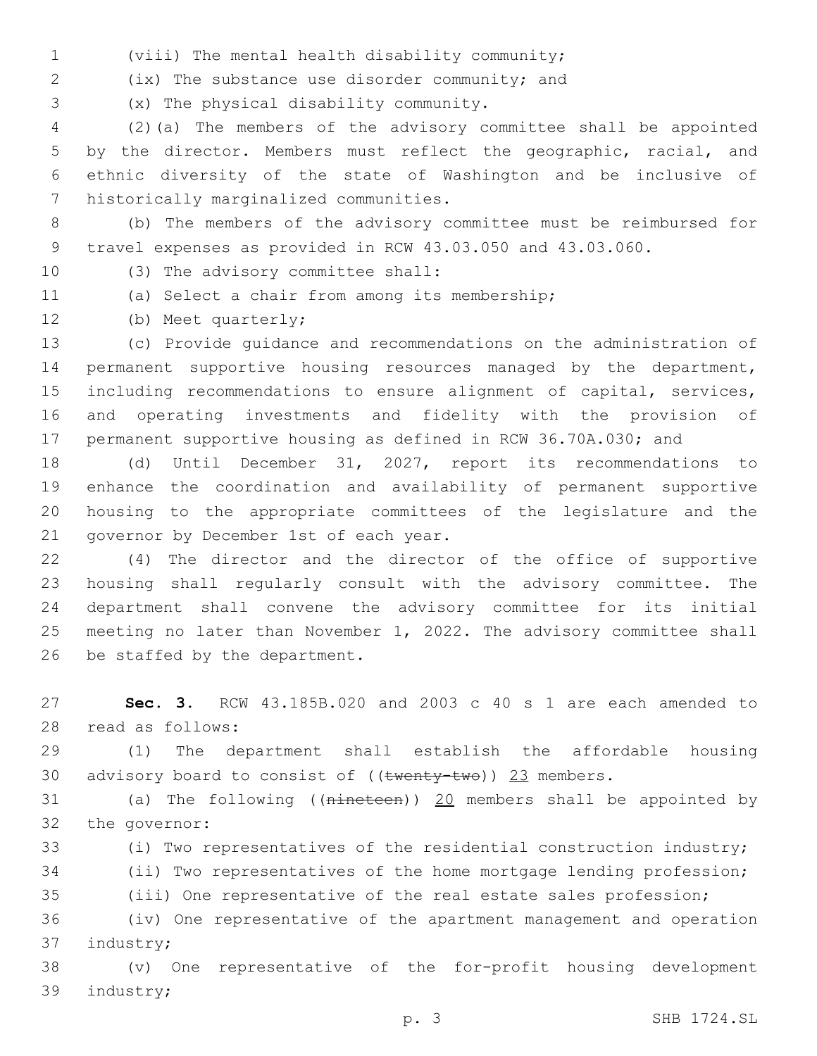(viii) The mental health disability community;1

(ix) The substance use disorder community; and2

(x) The physical disability community.3

 (2)(a) The members of the advisory committee shall be appointed by the director. Members must reflect the geographic, racial, and ethnic diversity of the state of Washington and be inclusive of 7 historically marginalized communities.

- (b) The members of the advisory committee must be reimbursed for travel expenses as provided in RCW 43.03.050 and 43.03.060.
- 
- 10 (3) The advisory committee shall:
- 
- 11 (a) Select a chair from among its membership;
- 12 (b) Meet quarterly;

 (c) Provide guidance and recommendations on the administration of permanent supportive housing resources managed by the department, including recommendations to ensure alignment of capital, services, and operating investments and fidelity with the provision of permanent supportive housing as defined in RCW 36.70A.030; and

 (d) Until December 31, 2027, report its recommendations to enhance the coordination and availability of permanent supportive housing to the appropriate committees of the legislature and the 21 governor by December 1st of each year.

 (4) The director and the director of the office of supportive housing shall regularly consult with the advisory committee. The department shall convene the advisory committee for its initial meeting no later than November 1, 2022. The advisory committee shall 26 be staffed by the department.

 **Sec. 3.** RCW 43.185B.020 and 2003 c 40 s 1 are each amended to 28 read as follows:

 (1) The department shall establish the affordable housing 30 advisory board to consist of  $((\text{twenty-two}))$  23 members.

 (a) The following ((nineteen)) 20 members shall be appointed by 32 the governor:

(i) Two representatives of the residential construction industry;

(ii) Two representatives of the home mortgage lending profession;

(iii) One representative of the real estate sales profession;

 (iv) One representative of the apartment management and operation 37 industry;

 (v) One representative of the for-profit housing development 39 industry;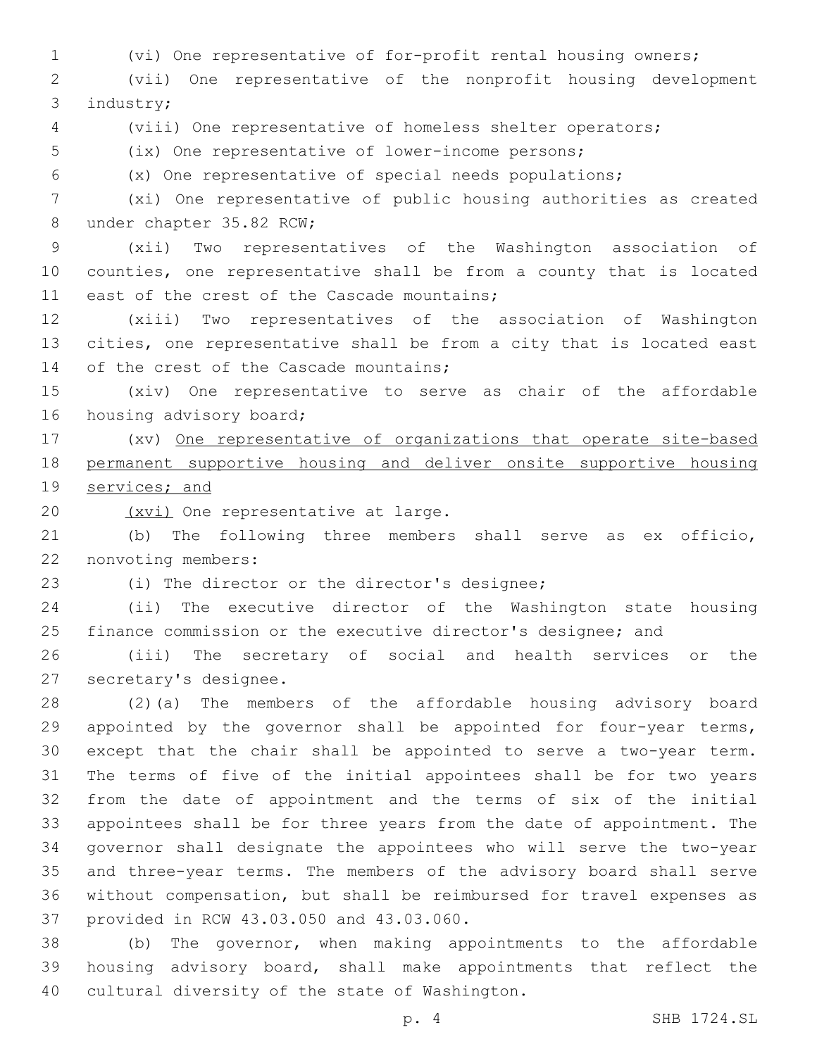(vi) One representative of for-profit rental housing owners;

 (vii) One representative of the nonprofit housing development 3 industry;

(viii) One representative of homeless shelter operators;

(ix) One representative of lower-income persons;

(x) One representative of special needs populations;

 (xi) One representative of public housing authorities as created 8 under chapter 35.82 RCW;

 (xii) Two representatives of the Washington association of counties, one representative shall be from a county that is located 11 east of the crest of the Cascade mountains;

 (xiii) Two representatives of the association of Washington cities, one representative shall be from a city that is located east 14 of the crest of the Cascade mountains;

 (xiv) One representative to serve as chair of the affordable 16 housing advisory board;

 (xv) One representative of organizations that operate site-based permanent supportive housing and deliver onsite supportive housing services; and

20 (xvi) One representative at large.

 (b) The following three members shall serve as ex officio, 22 nonvoting members:

23 (i) The director or the director's designee;

 (ii) The executive director of the Washington state housing finance commission or the executive director's designee; and

 (iii) The secretary of social and health services or the 27 secretary's designee.

 (2)(a) The members of the affordable housing advisory board appointed by the governor shall be appointed for four-year terms, except that the chair shall be appointed to serve a two-year term. The terms of five of the initial appointees shall be for two years from the date of appointment and the terms of six of the initial appointees shall be for three years from the date of appointment. The governor shall designate the appointees who will serve the two-year and three-year terms. The members of the advisory board shall serve without compensation, but shall be reimbursed for travel expenses as 37 provided in RCW 43.03.050 and 43.03.060.

 (b) The governor, when making appointments to the affordable housing advisory board, shall make appointments that reflect the 40 cultural diversity of the state of Washington.